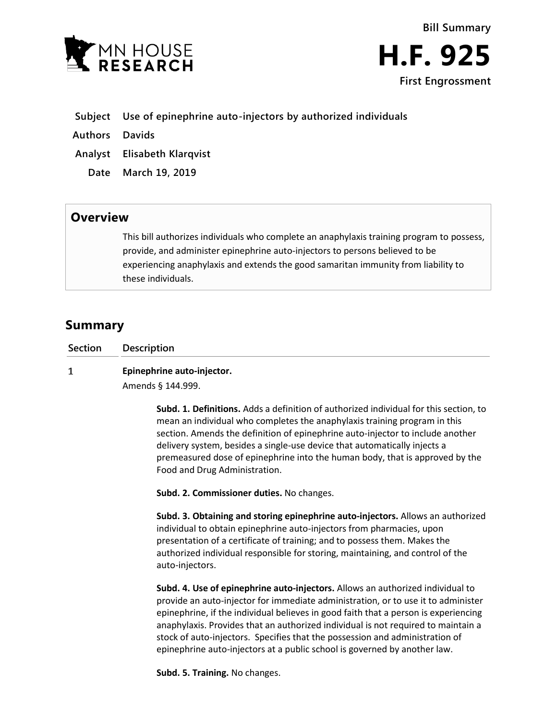



- **Subject Use of epinephrine auto-injectors by authorized individuals**
- **Authors Davids**
- **Analyst Elisabeth Klarqvist**
	- **Date March 19, 2019**

## **Overview**

This bill authorizes individuals who complete an anaphylaxis training program to possess, provide, and administer epinephrine auto-injectors to persons believed to be experiencing anaphylaxis and extends the good samaritan immunity from liability to these individuals.

## **Summary**

| Section | Description                |
|---------|----------------------------|
|         | Epinephrine auto-injector. |

Amends § 144.999.

**Subd. 1. Definitions.** Adds a definition of authorized individual for this section, to mean an individual who completes the anaphylaxis training program in this section. Amends the definition of epinephrine auto-injector to include another delivery system, besides a single-use device that automatically injects a premeasured dose of epinephrine into the human body, that is approved by the Food and Drug Administration.

**Subd. 2. Commissioner duties.** No changes.

**Subd. 3. Obtaining and storing epinephrine auto-injectors.** Allows an authorized individual to obtain epinephrine auto-injectors from pharmacies, upon presentation of a certificate of training; and to possess them. Makes the authorized individual responsible for storing, maintaining, and control of the auto-injectors.

**Subd. 4. Use of epinephrine auto-injectors.** Allows an authorized individual to provide an auto-injector for immediate administration, or to use it to administer epinephrine, if the individual believes in good faith that a person is experiencing anaphylaxis. Provides that an authorized individual is not required to maintain a stock of auto-injectors. Specifies that the possession and administration of epinephrine auto-injectors at a public school is governed by another law.

**Subd. 5. Training.** No changes.